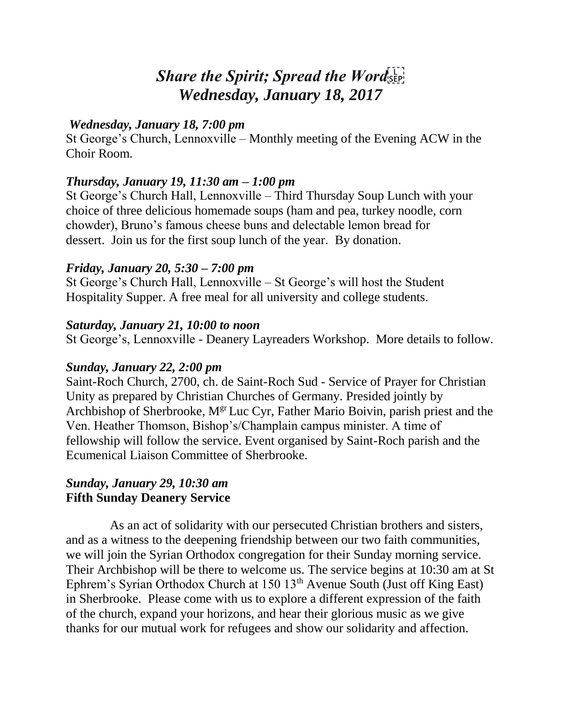# *Share the Spirit; Spread the Word Wednesday, January 18, 2017*

## *Wednesday, January 18, 7:00 pm*

St George's Church, Lennoxville – Monthly meeting of the Evening ACW in the Choir Room.

## *Thursday, January 19, 11:30 am – 1:00 pm*

St George's Church Hall, Lennoxville – Third Thursday Soup Lunch with your choice of three delicious homemade soups (ham and pea, turkey noodle, corn chowder), Bruno's famous cheese buns and delectable lemon bread for dessert. Join us for the first soup lunch of the year. By donation.

## *Friday, January 20, 5:30 – 7:00 pm*

St George's Church Hall, Lennoxville – St George's will host the Student Hospitality Supper. A free meal for all university and college students.

#### *Saturday, January 21, 10:00 to noon*

St George's, Lennoxville - Deanery Layreaders Workshop. More details to follow.

#### *Sunday, January 22, 2:00 pm*

Saint-Roch Church, 2700, ch. de Saint-Roch Sud - Service of Prayer for Christian Unity as prepared by Christian Churches of Germany. Presided jointly by Archbishop of Sherbrooke, M<sup>gr</sup> Luc Cyr, Father Mario Boivin, parish priest and the Ven. Heather Thomson, Bishop's/Champlain campus minister. A time of fellowship will follow the service. Event organised by Saint-Roch parish and the Ecumenical Liaison Committee of Sherbrooke.

## *Sunday, January 29, 10:30 am* **Fifth Sunday Deanery Service**

As an act of solidarity with our persecuted Christian brothers and sisters, and as a witness to the deepening friendship between our two faith communities, we will join the Syrian Orthodox congregation for their Sunday morning service. Their Archbishop will be there to welcome us. The service begins at 10:30 am at St Ephrem's Syrian Orthodox Church at  $150 \, 13<sup>th</sup>$  Avenue South (Just off King East) in Sherbrooke. Please come with us to explore a different expression of the faith of the church, expand your horizons, and hear their glorious music as we give thanks for our mutual work for refugees and show our solidarity and affection.